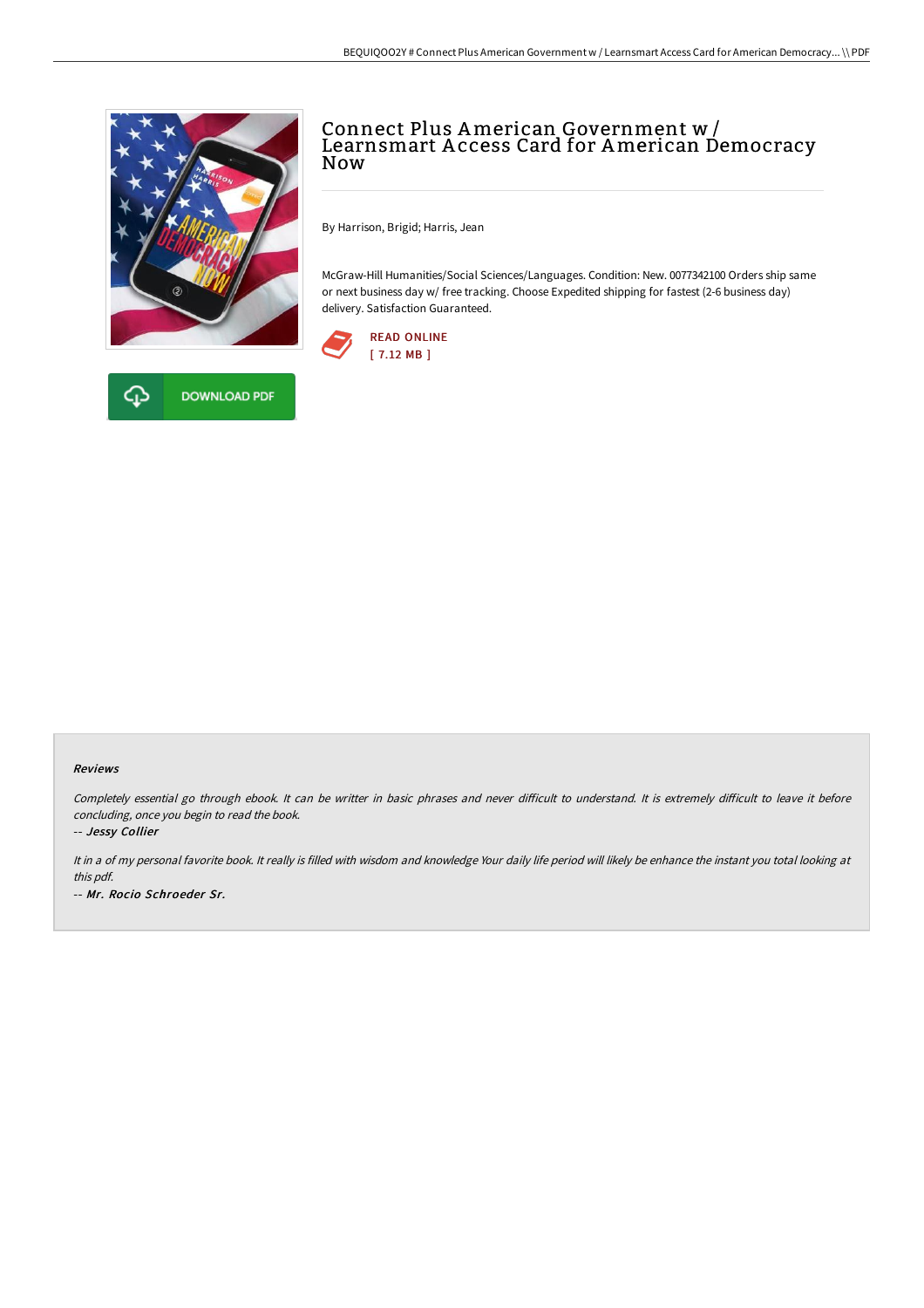

**DOWNLOAD PDF** 

د<sub>ل</sub>

## Connect Plus American Government w / Learnsmart Access Card for American Democracy<br>Now

By Harrison, Brigid; Harris, Jean

McGraw-Hill Humanities/Social Sciences/Languages. Condition: New. 0077342100 Orders ship same or next business day w/ free tracking. Choose Expedited shipping for fastest (2-6 business day) delivery. Satisfaction Guaranteed.





Completely essential go through ebook. It can be writter in basic phrases and never difficult to understand. It is extremely difficult to leave it before concluding, once you begin to read the book.

-- Jessy Collier

It in a of my personal favorite book. It really is filled with wisdom and knowledge Your daily life period will likely be enhance the instant you total looking at this pdf. -- Mr. Rocio Schroeder Sr.